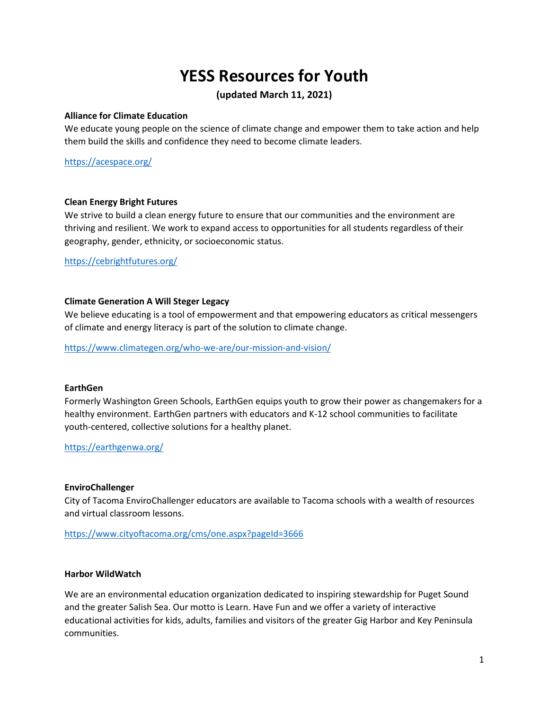# **YESS Resources for Youth**

# **(updated March 11, 2021)**

#### **Alliance for Climate Education**

We educate young people on the science of climate change and empower them to take action and help them build the skills and confidence they need to become climate leaders.

<https://acespace.org/>

#### **Clean Energy Bright Futures**

We strive to build a clean energy future to ensure that our communities and the environment are thriving and resilient. We work to expand access to opportunities for all students regardless of their geography, gender, ethnicity, or socioeconomic status.

<https://cebrightfutures.org/>

# **Climate Generation A Will Steger Legacy**

We believe educating is a tool of empowerment and that empowering educators as critical messengers of climate and energy literacy is part of the solution to climate change.

<https://www.climategen.org/who-we-are/our-mission-and-vision/>

#### **EarthGen**

Formerly Washington Green Schools, EarthGen equips youth to grow their power as changemakers for a healthy environment. EarthGen partners with educators and K-12 school communities to facilitate youth-centered, collective solutions for a healthy planet.

<https://earthgenwa.org/>

#### **EnviroChallenger**

City of Tacoma EnviroChallenger educators are available to Tacoma schools with a wealth of resources and virtual classroom lessons.

<https://www.cityoftacoma.org/cms/one.aspx?pageId=3666>

#### **Harbor WildWatch**

We are an environmental education organization dedicated to inspiring stewardship for Puget Sound and the greater Salish Sea. Our motto is Learn. Have Fun and we offer a variety of interactive educational activities for kids, adults, families and visitors of the greater Gig Harbor and Key Peninsula communities.